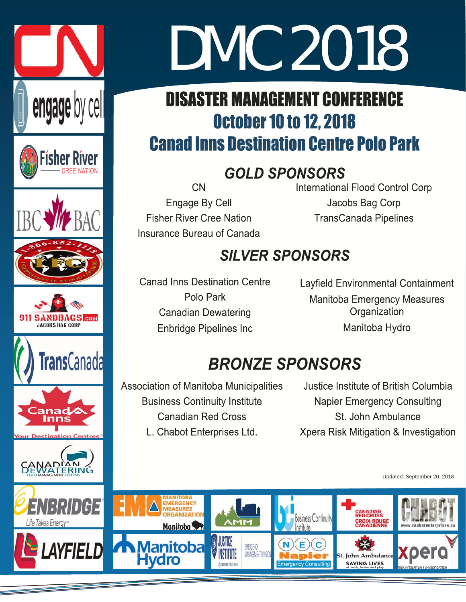

# DMC 2018 DMC 2018

# **DISASTER MANAGEMENT CONFERENCE October 10 to 12, 2018 Canad Inns Destination Centre Polo Park**

# **GOLD SPONSORS**

**CN Engage By Cell Fisher River Cree Nation** Insurance Bureau of Canada **International Flood Control Corp** Jacobs Bag Corp **TransCanada Pipelines** 

# **SILVER SPONSORS**

**Canad Inns Destination Centre** Polo Park **Canadian Dewatering Enbridge Pipelines Inc** 

Layfield Environmental Containment **Manitoba Emergency Measures** Organization Manitoba Hydro

# **BRONZE SPONSORS**

**Association of Manitoba Municipalities Business Continuity Institute Canadian Red Cross** 

L. Chabot Enterprises Ltd.

Justice Institute of British Columbia **Napier Emergency Consulting** St. John Ambulance Xpera Risk Mitigation & Investigation

Updated: September 20, 2018

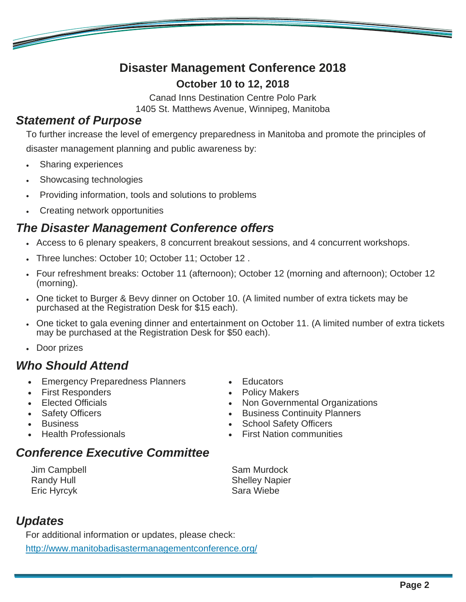# **Disaster Management Conference 2018 October 10 to 12, 2018**

Canad Inns Destination Centre Polo Park

1405 St. Matthews Avenue, Winnipeg, Manitoba

### *Statement of Purpose*

<u>e de la compa</u>

To further increase the level of emergency preparedness in Manitoba and promote the principles of disaster management planning and public awareness by:

- Sharing experiences
- Showcasing technologies
- Providing information, tools and solutions to problems
- Creating network opportunities

# *The Disaster Management Conference offers*

- Access to 6 plenary speakers, 8 concurrent breakout sessions, and 4 concurrent workshops.
- Three lunches: October 10; October 11; October 12 .
- Four refreshment breaks: October 11 (afternoon); October 12 (morning and afternoon); October 12 (morning).
- One ticket to Burger & Bevy dinner on October 10. (A limited number of extra tickets may be purchased at the Registration Desk for \$15 each).
- One ticket to gala evening dinner and entertainment on October 11. (A limited number of extra tickets may be purchased at the Registration Desk for \$50 each).
- Door prizes

# *Who Should Attend*

- **Emergency Preparedness Planners**
- First Responders
- Elected Officials
- Safety Officers
- Business
- Health Professionals

# *Conference Executive Committee*

Jim Campbell Randy Hull Eric Hyrcyk

Educators

- Policy Makers
- Non Governmental Organizations
- Business Continuity Planners
- School Safety Officers
- First Nation communities

Sam Murdock Shelley Napier Sara Wiebe

# *Updates*

For additional information or updates, please check:

http://www.manitobadisastermanagementconference.org/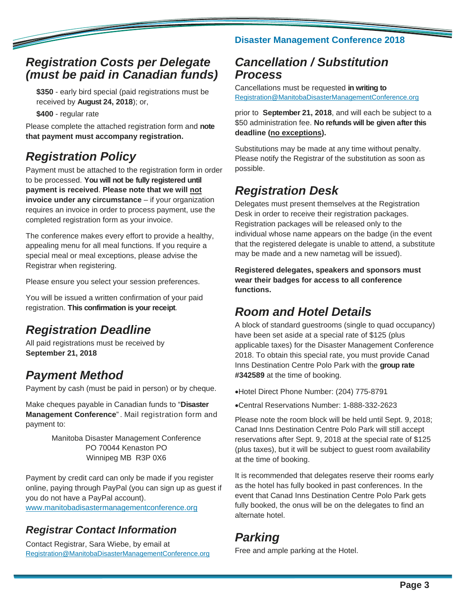### *Registration Costs per Delegate (must be paid in Canadian funds)*

**\$350** - early bird special (paid registrations must be received by **August 24, 2018**); or,

**\$400** - regular rate

**Contract Contract Contract Contract Contract Contract Contract Contract Contract Contract Contract Contract C** 

Please complete the attached registration form and **note that payment must accompany registration.**

# *Registration Policy*

Payment must be attached to the registration form in order to be processed. **You will not be fully registered until payment is received**. **Please note that we will not invoice under any circumstance** – if your organization requires an invoice in order to process payment, use the completed registration form as your invoice.

The conference makes every effort to provide a healthy, appealing menu for all meal functions. If you require a special meal or meal exceptions, please advise the Registrar when registering.

Please ensure you select your session preferences.

You will be issued a written confirmation of your paid registration. **This confirmation is your receipt**.

# *Registration Deadline*

All paid registrations must be received by **September 21, 2018**

# *Payment Method*

Payment by cash (must be paid in person) or by cheque.

Make cheques payable in Canadian funds to "**Disaster Management Conference**" . Mail registration form and payment to:

> Manitoba Disaster Management Conference PO 70044 Kenaston PO Winnipeg MB R3P 0X6

Payment by credit card can only be made if you register online, paying through PayPal (you can sign up as guest if you do not have a PayPal account). www.manitobadisastermanagementconference.org

# *Registrar Contact Information*

Contact Registrar, Sara Wiebe, by email at Registration@ManitobaDisasterManagementConference.org

#### **Disaster Management Conference 2018**

# *Cancellation / Substitution Process*

Cancellations must be requested **in writing to**  Registration@ManitobaDisasterManagementConference.org

prior to **September 21, 2018**, and will each be subject to a \$50 administration fee. **No refunds will be given after this deadline (no exceptions).**

Substitutions may be made at any time without penalty. Please notify the Registrar of the substitution as soon as possible.

# *Registration Desk*

Delegates must present themselves at the Registration Desk in order to receive their registration packages. Registration packages will be released only to the individual whose name appears on the badge (in the event that the registered delegate is unable to attend, a substitute may be made and a new nametag will be issued).

**Registered delegates, speakers and sponsors must wear their badges for access to all conference functions.** 

# *Room and Hotel Details*

A block of standard guestrooms (single to quad occupancy) have been set aside at a special rate of \$125 (plus applicable taxes) for the Disaster Management Conference 2018. To obtain this special rate, you must provide Canad Inns Destination Centre Polo Park with the **group rate #342589** at the time of booking.

Hotel Direct Phone Number: (204) 775-8791

Central Reservations Number: 1-888-332-2623

Please note the room block will be held until Sept. 9, 2018; Canad Inns Destination Centre Polo Park will still accept reservations after Sept. 9, 2018 at the special rate of \$125 (plus taxes), but it will be subject to guest room availability at the time of booking.

It is recommended that delegates reserve their rooms early as the hotel has fully booked in past conferences. In the event that Canad Inns Destination Centre Polo Park gets fully booked, the onus will be on the delegates to find an alternate hotel.

# *Parking*

Free and ample parking at the Hotel.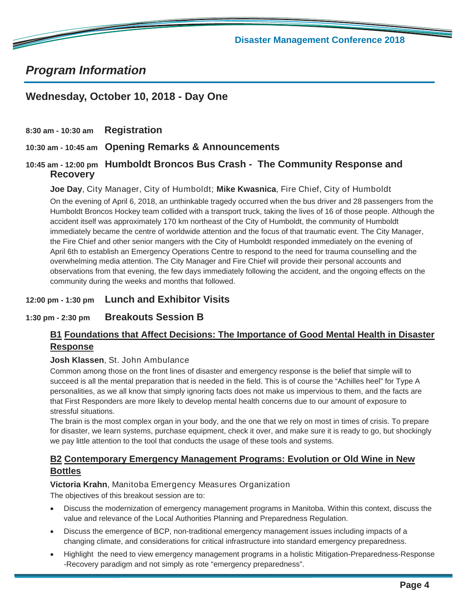**Disaster Management Conference 2018** 

# *Program Information*

**CONTRACTOR** 

#### **Wednesday, October 10, 2018 - Day One**

**8:30 am - 10:30 am Registration**

**10:30 am - 10:45 am Opening Remarks & Announcements** 

**10:45 am - 12:00 pm Humboldt Broncos Bus Crash - The Community Response and Recovery**

**Joe Day**, City Manager, City of Humboldt; **Mike Kwasnica**, Fire Chief, City of Humboldt

On the evening of April 6, 2018, an unthinkable tragedy occurred when the bus driver and 28 passengers from the Humboldt Broncos Hockey team collided with a transport truck, taking the lives of 16 of those people. Although the accident itself was approximately 170 km northeast of the City of Humboldt, the community of Humboldt immediately became the centre of worldwide attention and the focus of that traumatic event. The City Manager, the Fire Chief and other senior mangers with the City of Humboldt responded immediately on the evening of April 6th to establish an Emergency Operations Centre to respond to the need for trauma counselling and the overwhelming media attention. The City Manager and Fire Chief will provide their personal accounts and observations from that evening, the few days immediately following the accident, and the ongoing effects on the community during the weeks and months that followed.

#### **12:00 pm - 1:30 pm Lunch and Exhibitor Visits**

#### **1:30 pm - 2:30 pm Breakouts Session B**

#### **B1 Foundations that Affect Decisions: The Importance of Good Mental Health in Disaster Response**

#### **Josh Klassen**, St. John Ambulance

Common among those on the front lines of disaster and emergency response is the belief that simple will to succeed is all the mental preparation that is needed in the field. This is of course the "Achilles heel" for Type A personalities, as we all know that simply ignoring facts does not make us impervious to them, and the facts are that First Responders are more likely to develop mental health concerns due to our amount of exposure to stressful situations.

The brain is the most complex organ in your body, and the one that we rely on most in times of crisis. To prepare for disaster, we learn systems, purchase equipment, check it over, and make sure it is ready to go, but shockingly we pay little attention to the tool that conducts the usage of these tools and systems.

#### **B2 Contemporary Emergency Management Programs: Evolution or Old Wine in New Bottles**

#### **Victoria Krahn**, Manitoba Emergency Measures Organization

The objectives of this breakout session are to:

- Discuss the modernization of emergency management programs in Manitoba. Within this context, discuss the value and relevance of the Local Authorities Planning and Preparedness Regulation.
- Discuss the emergence of BCP, non-traditional emergency management issues including impacts of a changing climate, and considerations for critical infrastructure into standard emergency preparedness.
- Highlight the need to view emergency management programs in a holistic Mitigation-Preparedness-Response -Recovery paradigm and not simply as rote "emergency preparedness".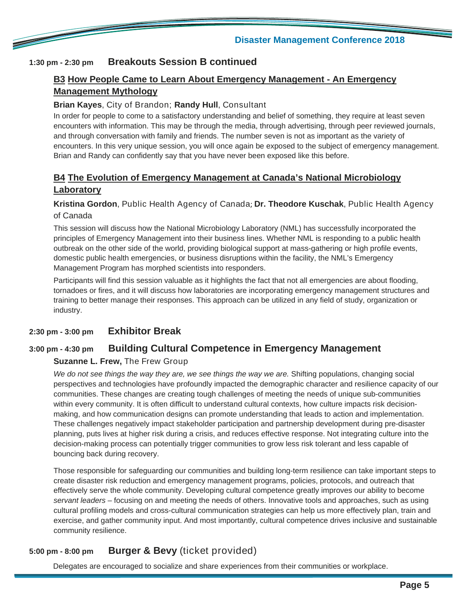

#### **1:30 pm - 2:30 pm Breakouts Session B continued**

<u>The Communication of the Communication of the Communication of the Communication of the Communication of the Communication of the Communication of the Communication of the Communication of the Communication of the Communi</u>

#### **B3 How People Came to Learn About Emergency Management - An Emergency Management Mythology**

#### **Brian Kayes**, City of Brandon; **Randy Hull**, Consultant

In order for people to come to a satisfactory understanding and belief of something, they require at least seven encounters with information. This may be through the media, through advertising, through peer reviewed journals, and through conversation with family and friends. The number seven is not as important as the variety of encounters. In this very unique session, you will once again be exposed to the subject of emergency management. Brian and Randy can confidently say that you have never been exposed like this before.

#### **B4 The Evolution of Emergency Management at Canada's National Microbiology Laboratory**

#### **Kristina Gordon**, Public Health Agency of Canada; **Dr. Theodore Kuschak**, Public Health Agency of Canada

This session will discuss how the National Microbiology Laboratory (NML) has successfully incorporated the principles of Emergency Management into their business lines. Whether NML is responding to a public health outbreak on the other side of the world, providing biological support at mass-gathering or high profile events, domestic public health emergencies, or business disruptions within the facility, the NML's Emergency Management Program has morphed scientists into responders.

Participants will find this session valuable as it highlights the fact that not all emergencies are about flooding, tornadoes or fires, and it will discuss how laboratories are incorporating emergency management structures and training to better manage their responses. This approach can be utilized in any field of study, organization or industry.

#### **2:30 pm - 3:00 pm Exhibitor Break**

#### **3:00 pm - 4:30 pm Building Cultural Competence in Emergency Management**

#### **Suzanne L. Frew,** The Frew Group

We do not see things the way they are, we see things the way we are. Shifting populations, changing social perspectives and technologies have profoundly impacted the demographic character and resilience capacity of our communities. These changes are creating tough challenges of meeting the needs of unique sub-communities within every community. It is often difficult to understand cultural contexts, how culture impacts risk decisionmaking, and how communication designs can promote understanding that leads to action and implementation. These challenges negatively impact stakeholder participation and partnership development during pre-disaster planning, puts lives at higher risk during a crisis, and reduces effective response. Not integrating culture into the decision-making process can potentially trigger communities to grow less risk tolerant and less capable of bouncing back during recovery.

Those responsible for safeguarding our communities and building long-term resilience can take important steps to create disaster risk reduction and emergency management programs, policies, protocols, and outreach that effectively serve the whole community. Developing cultural competence greatly improves our ability to become *servant leaders* – focusing on and meeting the needs of others. Innovative tools and approaches, such as using cultural profiling models and cross-cultural communication strategies can help us more effectively plan, train and exercise, and gather community input. And most importantly, cultural competence drives inclusive and sustainable community resilience.

#### **5:00 pm - 8:00 pm Burger & Bevy** (ticket provided)

Delegates are encouraged to socialize and share experiences from their communities or workplace.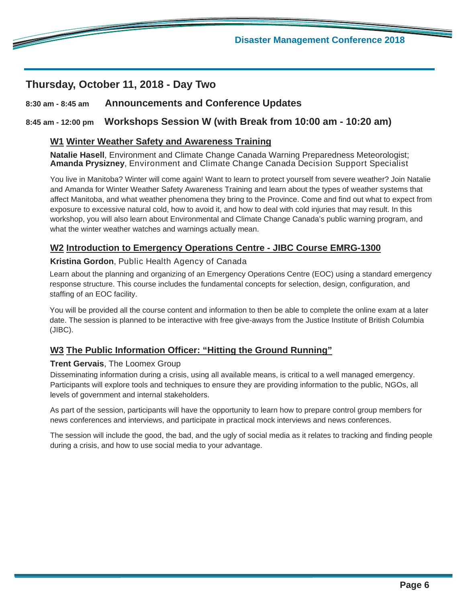### **Thursday, October 11, 2018 - Day Two**

<u>de la compa</u>

#### **8:30 am - 8:45 am Announcements and Conference Updates**

#### **8:45 am - 12:00 pm Workshops Session W (with Break from 10:00 am - 10:20 am)**

#### **W1 Winter Weather Safety and Awareness Training**

**Natalie Hasell**, Environment and Climate Change Canada Warning Preparedness Meteorologist; **Amanda Prysizney**, Environment and Climate Change Canada Decision Support Specialist

You live in Manitoba? Winter will come again! Want to learn to protect yourself from severe weather? Join Natalie and Amanda for Winter Weather Safety Awareness Training and learn about the types of weather systems that affect Manitoba, and what weather phenomena they bring to the Province. Come and find out what to expect from exposure to excessive natural cold, how to avoid it, and how to deal with cold injuries that may result. In this workshop, you will also learn about Environmental and Climate Change Canada's public warning program, and what the winter weather watches and warnings actually mean.

#### **W2 Introduction to Emergency Operations Centre - JIBC Course EMRG-1300**

#### **Kristina Gordon**, Public Health Agency of Canada

Learn about the planning and organizing of an Emergency Operations Centre (EOC) using a standard emergency response structure. This course includes the fundamental concepts for selection, design, configuration, and staffing of an EOC facility.

You will be provided all the course content and information to then be able to complete the online exam at a later date. The session is planned to be interactive with free give-aways from the Justice Institute of British Columbia (JIBC).

#### **W3 The Public Information Officer: "Hitting the Ground Running"**

#### **Trent Gervais**, The Loomex Group

Disseminating information during a crisis, using all available means, is critical to a well managed emergency. Participants will explore tools and techniques to ensure they are providing information to the public, NGOs, all levels of government and internal stakeholders.

As part of the session, participants will have the opportunity to learn how to prepare control group members for news conferences and interviews, and participate in practical mock interviews and news conferences.

The session will include the good, the bad, and the ugly of social media as it relates to tracking and finding people during a crisis, and how to use social media to your advantage.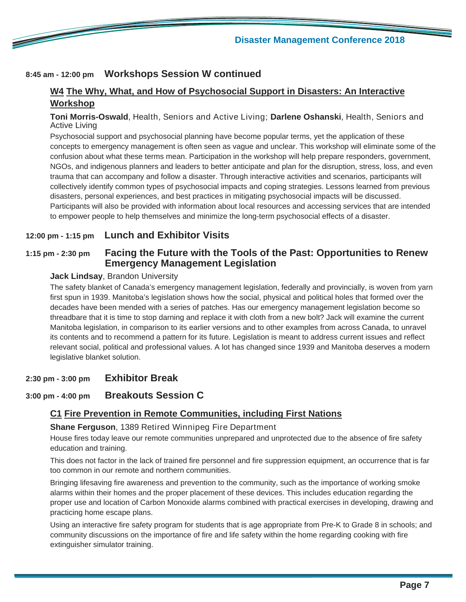

#### **8:45 am - 12:00 pm Workshops Session W continued**

#### **W4 The Why, What, and How of Psychosocial Support in Disasters: An Interactive Workshop**

#### **Toni Morris-Oswald**, Health, Seniors and Active Living; **Darlene Oshanski**, Health, Seniors and Active Living

Psychosocial support and psychosocial planning have become popular terms, yet the application of these concepts to emergency management is often seen as vague and unclear. This workshop will eliminate some of the confusion about what these terms mean. Participation in the workshop will help prepare responders, government, NGOs, and indigenous planners and leaders to better anticipate and plan for the disruption, stress, loss, and even trauma that can accompany and follow a disaster. Through interactive activities and scenarios, participants will collectively identify common types of psychosocial impacts and coping strategies. Lessons learned from previous disasters, personal experiences, and best practices in mitigating psychosocial impacts will be discussed. Participants will also be provided with information about local resources and accessing services that are intended to empower people to help themselves and minimize the long-term psychosocial effects of a disaster.

#### **12:00 pm - 1:15 pm Lunch and Exhibitor Visits**

#### **1:15 pm - 2:30 pm Facing the Future with the Tools of the Past: Opportunities to Renew Emergency Management Legislation**

#### **Jack Lindsay**, Brandon University

The safety blanket of Canada's emergency management legislation, federally and provincially, is woven from yarn first spun in 1939. Manitoba's legislation shows how the social, physical and political holes that formed over the decades have been mended with a series of patches. Has our emergency management legislation become so threadbare that it is time to stop darning and replace it with cloth from a new bolt? Jack will examine the current Manitoba legislation, in comparison to its earlier versions and to other examples from across Canada, to unravel its contents and to recommend a pattern for its future. Legislation is meant to address current issues and reflect relevant social, political and professional values. A lot has changed since 1939 and Manitoba deserves a modern legislative blanket solution.

#### **2:30 pm - 3:00 pm Exhibitor Break**

#### **3:00 pm - 4:00 pm Breakouts Session C**

#### **C1 Fire Prevention in Remote Communities, including First Nations**

#### **Shane Ferguson**, 1389 Retired Winnipeg Fire Department

House fires today leave our remote communities unprepared and unprotected due to the absence of fire safety education and training.

This does not factor in the lack of trained fire personnel and fire suppression equipment, an occurrence that is far too common in our remote and northern communities.

Bringing lifesaving fire awareness and prevention to the community, such as the importance of working smoke alarms within their homes and the proper placement of these devices. This includes education regarding the proper use and location of Carbon Monoxide alarms combined with practical exercises in developing, drawing and practicing home escape plans.

Using an interactive fire safety program for students that is age appropriate from Pre-K to Grade 8 in schools; and community discussions on the importance of fire and life safety within the home regarding cooking with fire extinguisher simulator training.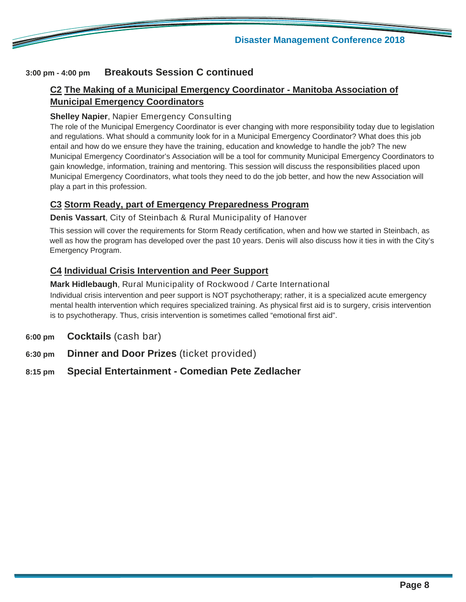

#### **3:00 pm - 4:00 pm Breakouts Session C continued**

<u>e de la compa</u>

#### **C2 The Making of a Municipal Emergency Coordinator - Manitoba Association of Municipal Emergency Coordinators**

#### **Shelley Napier**, Napier Emergency Consulting

The role of the Municipal Emergency Coordinator is ever changing with more responsibility today due to legislation and regulations. What should a community look for in a Municipal Emergency Coordinator? What does this job entail and how do we ensure they have the training, education and knowledge to handle the job? The new Municipal Emergency Coordinator's Association will be a tool for community Municipal Emergency Coordinators to gain knowledge, information, training and mentoring. This session will discuss the responsibilities placed upon Municipal Emergency Coordinators, what tools they need to do the job better, and how the new Association will play a part in this profession.

#### **C3 Storm Ready, part of Emergency Preparedness Program**

**Denis Vassart**, City of Steinbach & Rural Municipality of Hanover

This session will cover the requirements for Storm Ready certification, when and how we started in Steinbach, as well as how the program has developed over the past 10 years. Denis will also discuss how it ties in with the City's Emergency Program.

#### **C4 Individual Crisis Intervention and Peer Support**

#### **Mark Hidlebaugh**, Rural Municipality of Rockwood / Carte International

Individual crisis intervention and peer support is NOT psychotherapy; rather, it is a specialized acute emergency mental health intervention which requires specialized training. As physical first aid is to surgery, crisis intervention is to psychotherapy. Thus, crisis intervention is sometimes called "emotional first aid".

- **6:00 pm Cocktails** (cash bar)
- **6:30 pm Dinner and Door Prizes** (ticket provided)

#### **8:15 pm Special Entertainment - Comedian Pete Zedlacher**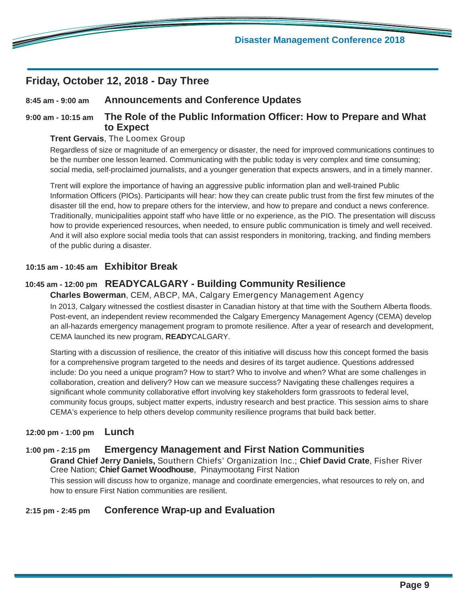#### **Friday, October 12, 2018 - Day Three**

**Contract Contract Contract Contract Contract Contract Contract Contract Contract Contract Contract Contract C** 

#### **8:45 am - 9:00 am Announcements and Conference Updates**

#### **9:00 am - 10:15 am The Role of the Public Information Officer: How to Prepare and What to Expect**

#### **Trent Gervais**, The Loomex Group

Regardless of size or magnitude of an emergency or disaster, the need for improved communications continues to be the number one lesson learned. Communicating with the public today is very complex and time consuming; social media, self-proclaimed journalists, and a younger generation that expects answers, and in a timely manner.

Trent will explore the importance of having an aggressive public information plan and well-trained Public Information Officers (PIOs). Participants will hear: how they can create public trust from the first few minutes of the disaster till the end, how to prepare others for the interview, and how to prepare and conduct a news conference. Traditionally, municipalities appoint staff who have little or no experience, as the PIO. The presentation will discuss how to provide experienced resources, when needed, to ensure public communication is timely and well received. And it will also explore social media tools that can assist responders in monitoring, tracking, and finding members of the public during a disaster.

#### **10:15 am - 10:45 am Exhibitor Break**

#### **10:45 am - 12:00 pm READYCALGARY - Building Community Resilience**

**Charles Bowerman**, CEM, ABCP, MA, Calgary Emergency Management Agency In 2013, Calgary witnessed the costliest disaster in Canadian history at that time with the Southern Alberta floods. Post-event, an independent review recommended the Calgary Emergency Management Agency (CEMA) develop an all-hazards emergency management program to promote resilience. After a year of research and development, CEMA launched its new program, **READY**CALGARY.

Starting with a discussion of resilience, the creator of this initiative will discuss how this concept formed the basis for a comprehensive program targeted to the needs and desires of its target audience. Questions addressed include: Do you need a unique program? How to start? Who to involve and when? What are some challenges in collaboration, creation and delivery? How can we measure success? Navigating these challenges requires a significant whole community collaborative effort involving key stakeholders form grassroots to federal level, community focus groups, subject matter experts, industry research and best practice. This session aims to share CEMA's experience to help others develop community resilience programs that build back better.

#### **12:00 pm - 1:00 pm Lunch**

#### **1:00 pm - 2:15 pm Emergency Management and First Nation Communities**

**Grand Chief Jerry Daniels,** Southern Chiefs' Organization Inc.; **Chief David Crate**, Fisher River Cree Nation; **Chief Garnet Woodhouse**, Pinaymootang First Nation

This session will discuss how to organize, manage and coordinate emergencies, what resources to rely on, and how to ensure First Nation communities are resilient.

#### **2:15 pm - 2:45 pm Conference Wrap-up and Evaluation**